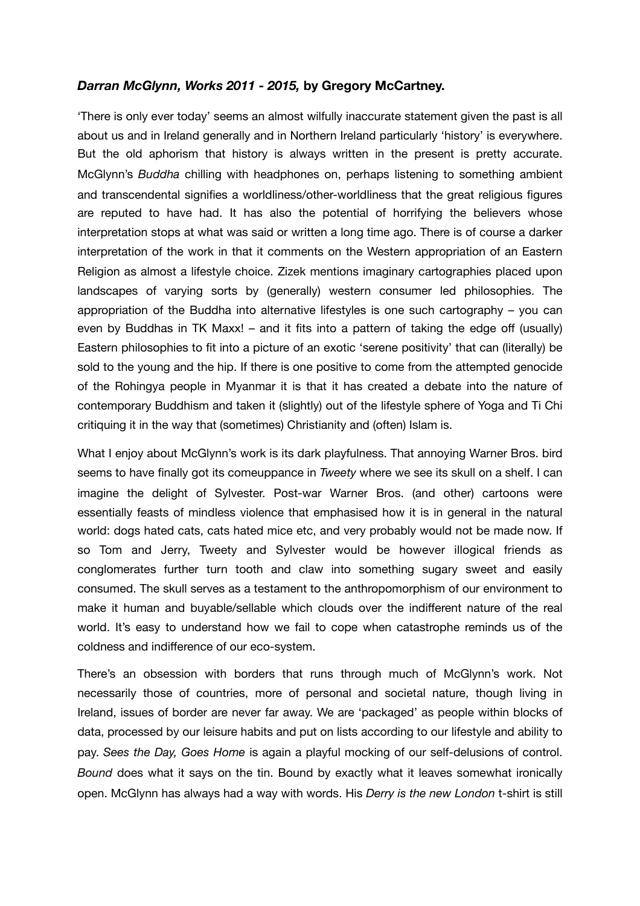## *Darran McGlynn, Works 2011 - 2015,* **by Gregory McCartney.**

'There is only ever today' seems an almost wilfully inaccurate statement given the past is all about us and in Ireland generally and in Northern Ireland particularly 'history' is everywhere. But the old aphorism that history is always written in the present is pretty accurate. McGlynn's *Buddha* chilling with headphones on, perhaps listening to something ambient and transcendental signifies a worldliness/other-worldliness that the great religious figures are reputed to have had. It has also the potential of horrifying the believers whose interpretation stops at what was said or written a long time ago. There is of course a darker interpretation of the work in that it comments on the Western appropriation of an Eastern Religion as almost a lifestyle choice. Zizek mentions imaginary cartographies placed upon landscapes of varying sorts by (generally) western consumer led philosophies. The appropriation of the Buddha into alternative lifestyles is one such cartography – you can even by Buddhas in TK Maxx! – and it fits into a pattern of taking the edge off (usually) Eastern philosophies to fit into a picture of an exotic 'serene positivity' that can (literally) be sold to the young and the hip. If there is one positive to come from the attempted genocide of the Rohingya people in Myanmar it is that it has created a debate into the nature of contemporary Buddhism and taken it (slightly) out of the lifestyle sphere of Yoga and Ti Chi critiquing it in the way that (sometimes) Christianity and (often) Islam is.

What I enjoy about McGlynn's work is its dark playfulness. That annoying Warner Bros. bird seems to have finally got its comeuppance in *Tweety* where we see its skull on a shelf. I can imagine the delight of Sylvester. Post-war Warner Bros. (and other) cartoons were essentially feasts of mindless violence that emphasised how it is in general in the natural world: dogs hated cats, cats hated mice etc, and very probably would not be made now. If so Tom and Jerry, Tweety and Sylvester would be however illogical friends as conglomerates further turn tooth and claw into something sugary sweet and easily consumed. The skull serves as a testament to the anthropomorphism of our environment to make it human and buyable/sellable which clouds over the indifferent nature of the real world. It's easy to understand how we fail to cope when catastrophe reminds us of the coldness and indifference of our eco-system.

There's an obsession with borders that runs through much of McGlynn's work. Not necessarily those of countries, more of personal and societal nature, though living in Ireland, issues of border are never far away. We are 'packaged' as people within blocks of data, processed by our leisure habits and put on lists according to our lifestyle and ability to pay. *Sees the Day, Goes Home* is again a playful mocking of our self-delusions of control. *Bound* does what it says on the tin. Bound by exactly what it leaves somewhat ironically open. McGlynn has always had a way with words. His *Derry is the new London* t-shirt is still